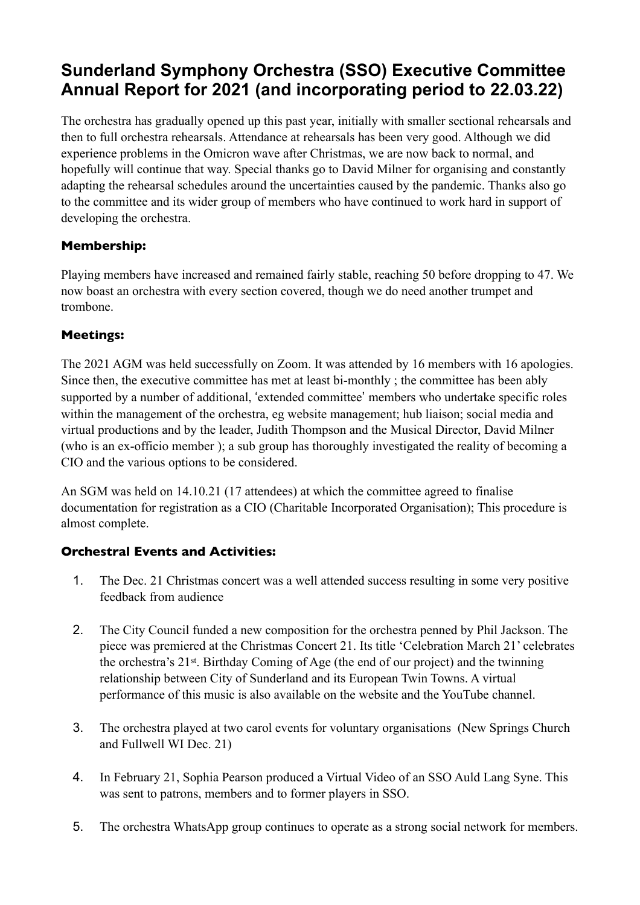# **Sunderland Symphony Orchestra (SSO) Executive Committee Annual Report for 2021 (and incorporating period to 22.03.22)**

The orchestra has gradually opened up this past year, initially with smaller sectional rehearsals and then to full orchestra rehearsals. Attendance at rehearsals has been very good. Although we did experience problems in the Omicron wave after Christmas, we are now back to normal, and hopefully will continue that way. Special thanks go to David Milner for organising and constantly adapting the rehearsal schedules around the uncertainties caused by the pandemic. Thanks also go to the committee and its wider group of members who have continued to work hard in support of developing the orchestra.

# **Membership:**

Playing members have increased and remained fairly stable, reaching 50 before dropping to 47. We now boast an orchestra with every section covered, though we do need another trumpet and trombone.

# **Meetings:**

The 2021 AGM was held successfully on Zoom. It was attended by 16 members with 16 apologies. Since then, the executive committee has met at least bi-monthly ; the committee has been ably supported by a number of additional, 'extended committee' members who undertake specific roles within the management of the orchestra, eg website management; hub liaison; social media and virtual productions and by the leader, Judith Thompson and the Musical Director, David Milner (who is an ex-officio member ); a sub group has thoroughly investigated the reality of becoming a CIO and the various options to be considered.

An SGM was held on 14.10.21 (17 attendees) at which the committee agreed to finalise documentation for registration as a CIO (Charitable Incorporated Organisation); This procedure is almost complete.

## **Orchestral Events and Activities:**

- 1. The Dec. 21 Christmas concert was a well attended success resulting in some very positive feedback from audience
- 2. The City Council funded a new composition for the orchestra penned by Phil Jackson. The piece was premiered at the Christmas Concert 21. Its title 'Celebration March 21' celebrates the orchestra's 21st. Birthday Coming of Age (the end of our project) and the twinning relationship between City of Sunderland and its European Twin Towns. A virtual performance of this music is also available on the website and the YouTube channel.
- 3. The orchestra played at two carol events for voluntary organisations (New Springs Church and Fullwell WI Dec. 21)
- 4. In February 21, Sophia Pearson produced a Virtual Video of an SSO Auld Lang Syne. This was sent to patrons, members and to former players in SSO.
- 5. The orchestra WhatsApp group continues to operate as a strong social network for members.